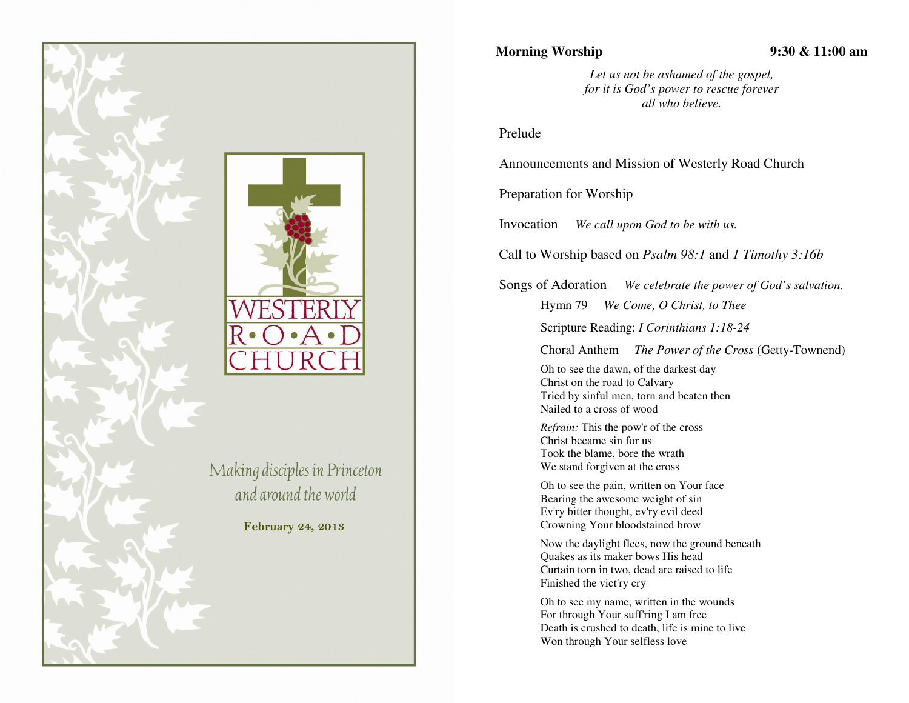

# **Morning Worship 9:30 & 11:00 am**

*Let us not be ashamed of the gospel, for it is God's power to rescue forever all who believe.* 

## Prelude

Announcements and Mission of Westerly Road Church

Preparation for Worship

Invocation *We call upon God to be with us.* 

Call to Worship based on *Psalm 98:1* and *1 Timothy 3:16b*

Songs of Adoration *We celebrate the power of God's salvation.*

Hymn 79 *We Come, O Christ, to Thee* 

Scripture Reading: *I Corinthians 1:18-24* 

Choral Anthem *The Power of the Cross* (Getty-Townend)

Oh to see the dawn, of the darkest day Christ on the road to Calvary Tried by sinful men, torn and beaten then Nailed to a cross of wood

*Refrain:* This the pow'r of the cross Christ became sin for us Took the blame, bore the wrath We stand forgiven at the cross

Oh to see the pain, written on Your face Bearing the awesome weight of sin Ev'ry bitter thought, ev'ry evil deed Crowning Your bloodstained brow

Now the daylight flees, now the ground beneath Quakes as its maker bows His head Curtain torn in two, dead are raised to life Finished the vict'ry cry

Oh to see my name, written in the wounds For through Your suff'ring I am free Death is crushed to death, life is mine to live Won through Your selfless love